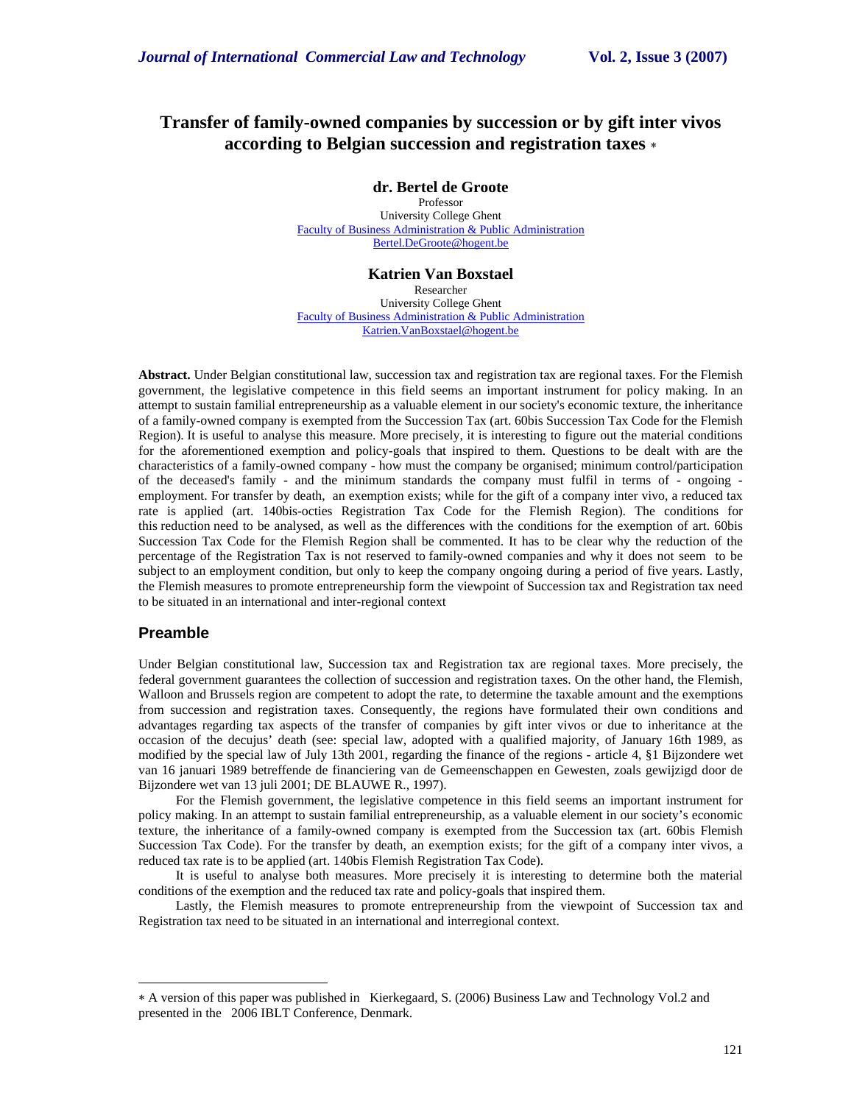# **Transfer of family-owned companies by succession or by gift inter vivos according to Belgian succession and registration taxes** ∗

**dr. Bertel de Groote** 

Professor University College Ghent Faculty of Business Administration & Public Administration Bertel.DeGroote@hogent.be

**Katrien Van Boxstael** 

Researcher University College Ghent Faculty of Business Administration & Public Administration Katrien.VanBoxstael@hogent.be

**Abstract.** Under Belgian constitutional law, succession tax and registration tax are regional taxes. For the Flemish government, the legislative competence in this field seems an important instrument for policy making. In an attempt to sustain familial entrepreneurship as a valuable element in our society's economic texture, the inheritance of a family-owned company is exempted from the Succession Tax (art. 60bis Succession Tax Code for the Flemish Region). It is useful to analyse this measure. More precisely, it is interesting to figure out the material conditions for the aforementioned exemption and policy-goals that inspired to them. Questions to be dealt with are the characteristics of a family-owned company - how must the company be organised; minimum control/participation of the deceased's family - and the minimum standards the company must fulfil in terms of - ongoing employment. For transfer by death, an exemption exists; while for the gift of a company inter vivo, a reduced tax rate is applied (art. 140bis-octies Registration Tax Code for the Flemish Region). The conditions for this reduction need to be analysed, as well as the differences with the conditions for the exemption of art. 60bis Succession Tax Code for the Flemish Region shall be commented. It has to be clear why the reduction of the percentage of the Registration Tax is not reserved to family-owned companies and why it does not seem to be subject to an employment condition, but only to keep the company ongoing during a period of five years. Lastly, the Flemish measures to promote entrepreneurship form the viewpoint of Succession tax and Registration tax need to be situated in an international and inter-regional context

# **Preamble**

-

Under Belgian constitutional law, Succession tax and Registration tax are regional taxes. More precisely, the federal government guarantees the collection of succession and registration taxes. On the other hand, the Flemish, Walloon and Brussels region are competent to adopt the rate, to determine the taxable amount and the exemptions from succession and registration taxes. Consequently, the regions have formulated their own conditions and advantages regarding tax aspects of the transfer of companies by gift inter vivos or due to inheritance at the occasion of the decujus' death (see: special law, adopted with a qualified majority, of January 16th 1989, as modified by the special law of July 13th 2001, regarding the finance of the regions - article 4, §1 Bijzondere wet van 16 januari 1989 betreffende de financiering van de Gemeenschappen en Gewesten, zoals gewijzigd door de Bijzondere wet van 13 juli 2001; DE BLAUWE R., 1997).

For the Flemish government, the legislative competence in this field seems an important instrument for policy making. In an attempt to sustain familial entrepreneurship, as a valuable element in our society's economic texture, the inheritance of a family-owned company is exempted from the Succession tax (art. 60bis Flemish Succession Tax Code). For the transfer by death, an exemption exists; for the gift of a company inter vivos, a reduced tax rate is to be applied (art. 140bis Flemish Registration Tax Code).

It is useful to analyse both measures. More precisely it is interesting to determine both the material conditions of the exemption and the reduced tax rate and policy-goals that inspired them.

Lastly, the Flemish measures to promote entrepreneurship from the viewpoint of Succession tax and Registration tax need to be situated in an international and interregional context.

<sup>∗</sup> A version of this paper was published in Kierkegaard, S. (2006) Business Law and Technology Vol.2 and presented in the 2006 IBLT Conference, Denmark.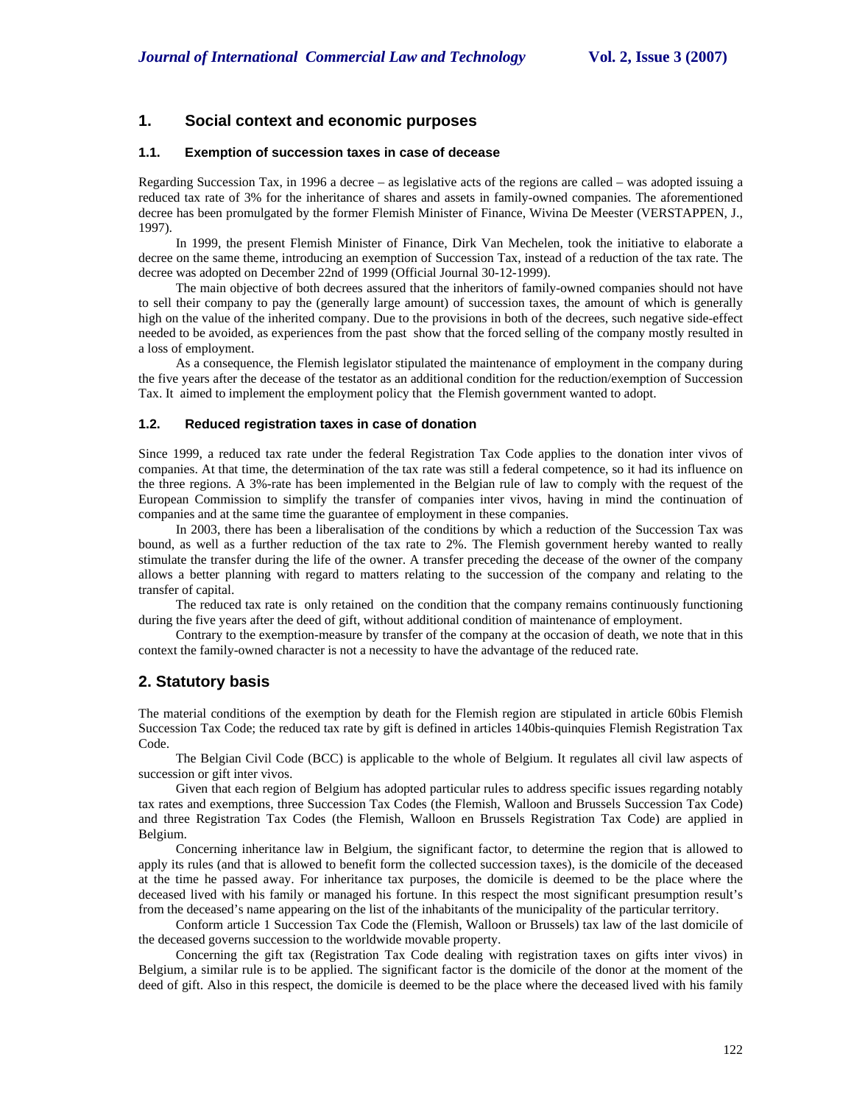# **1. Social context and economic purposes**

### **1.1. Exemption of succession taxes in case of decease**

Regarding Succession Tax, in 1996 a decree – as legislative acts of the regions are called – was adopted issuing a reduced tax rate of 3% for the inheritance of shares and assets in family-owned companies. The aforementioned decree has been promulgated by the former Flemish Minister of Finance, Wivina De Meester (VERSTAPPEN, J., 1997).

In 1999, the present Flemish Minister of Finance, Dirk Van Mechelen, took the initiative to elaborate a decree on the same theme, introducing an exemption of Succession Tax, instead of a reduction of the tax rate. The decree was adopted on December 22nd of 1999 (Official Journal 30-12-1999).

The main objective of both decrees assured that the inheritors of family-owned companies should not have to sell their company to pay the (generally large amount) of succession taxes, the amount of which is generally high on the value of the inherited company. Due to the provisions in both of the decrees, such negative side-effect needed to be avoided, as experiences from the past show that the forced selling of the company mostly resulted in a loss of employment.

As a consequence, the Flemish legislator stipulated the maintenance of employment in the company during the five years after the decease of the testator as an additional condition for the reduction/exemption of Succession Tax. It aimed to implement the employment policy that the Flemish government wanted to adopt.

## **1.2. Reduced registration taxes in case of donation**

Since 1999, a reduced tax rate under the federal Registration Tax Code applies to the donation inter vivos of companies. At that time, the determination of the tax rate was still a federal competence, so it had its influence on the three regions. A 3%-rate has been implemented in the Belgian rule of law to comply with the request of the European Commission to simplify the transfer of companies inter vivos, having in mind the continuation of companies and at the same time the guarantee of employment in these companies.

In 2003, there has been a liberalisation of the conditions by which a reduction of the Succession Tax was bound, as well as a further reduction of the tax rate to 2%. The Flemish government hereby wanted to really stimulate the transfer during the life of the owner. A transfer preceding the decease of the owner of the company allows a better planning with regard to matters relating to the succession of the company and relating to the transfer of capital.

The reduced tax rate is only retained on the condition that the company remains continuously functioning during the five years after the deed of gift, without additional condition of maintenance of employment.

Contrary to the exemption-measure by transfer of the company at the occasion of death, we note that in this context the family-owned character is not a necessity to have the advantage of the reduced rate.

# **2. Statutory basis**

The material conditions of the exemption by death for the Flemish region are stipulated in article 60bis Flemish Succession Tax Code; the reduced tax rate by gift is defined in articles 140bis-quinquies Flemish Registration Tax Code.

The Belgian Civil Code (BCC) is applicable to the whole of Belgium. It regulates all civil law aspects of succession or gift inter vivos.

Given that each region of Belgium has adopted particular rules to address specific issues regarding notably tax rates and exemptions, three Succession Tax Codes (the Flemish, Walloon and Brussels Succession Tax Code) and three Registration Tax Codes (the Flemish, Walloon en Brussels Registration Tax Code) are applied in Belgium.

Concerning inheritance law in Belgium, the significant factor, to determine the region that is allowed to apply its rules (and that is allowed to benefit form the collected succession taxes), is the domicile of the deceased at the time he passed away. For inheritance tax purposes, the domicile is deemed to be the place where the deceased lived with his family or managed his fortune. In this respect the most significant presumption result's from the deceased's name appearing on the list of the inhabitants of the municipality of the particular territory.

Conform article 1 Succession Tax Code the (Flemish, Walloon or Brussels) tax law of the last domicile of the deceased governs succession to the worldwide movable property.

Concerning the gift tax (Registration Tax Code dealing with registration taxes on gifts inter vivos) in Belgium, a similar rule is to be applied. The significant factor is the domicile of the donor at the moment of the deed of gift. Also in this respect, the domicile is deemed to be the place where the deceased lived with his family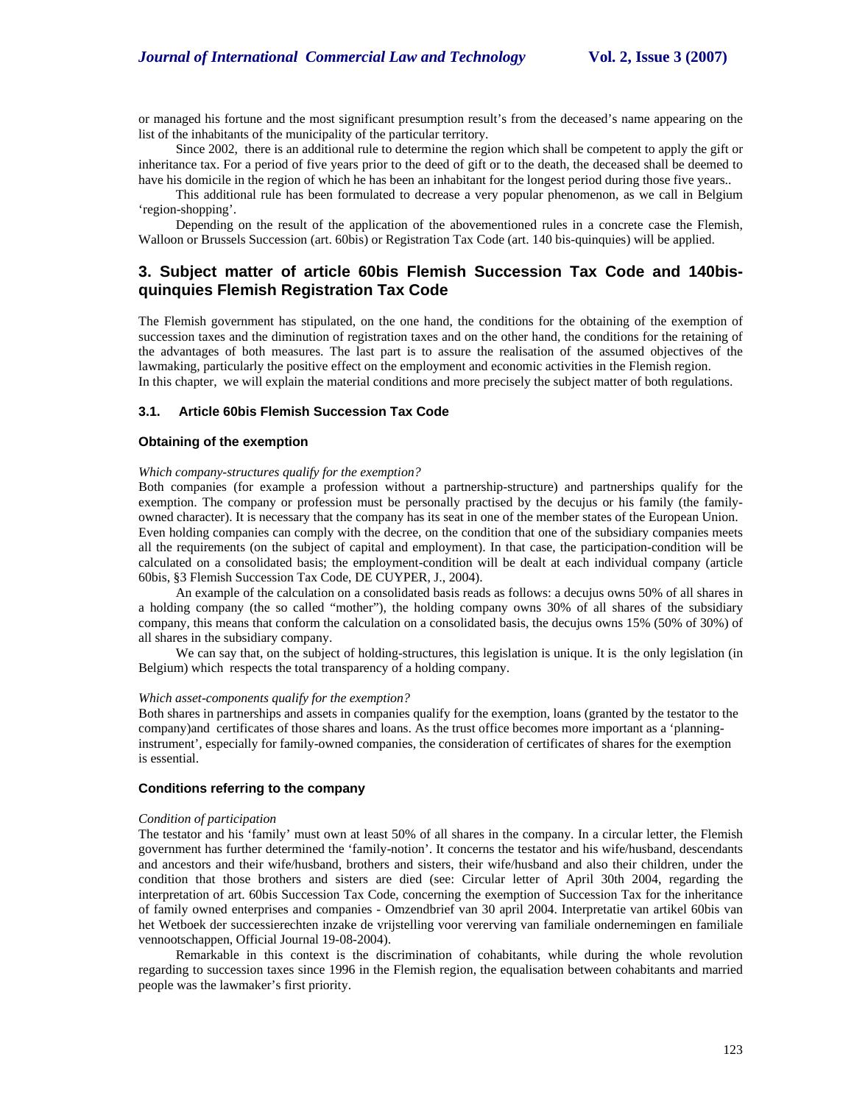or managed his fortune and the most significant presumption result's from the deceased's name appearing on the list of the inhabitants of the municipality of the particular territory.

Since 2002, there is an additional rule to determine the region which shall be competent to apply the gift or inheritance tax. For a period of five years prior to the deed of gift or to the death, the deceased shall be deemed to have his domicile in the region of which he has been an inhabitant for the longest period during those five years..

This additional rule has been formulated to decrease a very popular phenomenon, as we call in Belgium 'region-shopping'.

Depending on the result of the application of the abovementioned rules in a concrete case the Flemish, Walloon or Brussels Succession (art. 60bis) or Registration Tax Code (art. 140 bis-quinquies) will be applied.

# **3. Subject matter of article 60bis Flemish Succession Tax Code and 140bisquinquies Flemish Registration Tax Code**

The Flemish government has stipulated, on the one hand, the conditions for the obtaining of the exemption of succession taxes and the diminution of registration taxes and on the other hand, the conditions for the retaining of the advantages of both measures. The last part is to assure the realisation of the assumed objectives of the lawmaking, particularly the positive effect on the employment and economic activities in the Flemish region. In this chapter, we will explain the material conditions and more precisely the subject matter of both regulations.

### **3.1. Article 60bis Flemish Succession Tax Code**

#### **Obtaining of the exemption**

#### *Which company-structures qualify for the exemption?*

Both companies (for example a profession without a partnership-structure) and partnerships qualify for the exemption. The company or profession must be personally practised by the decujus or his family (the familyowned character). It is necessary that the company has its seat in one of the member states of the European Union. Even holding companies can comply with the decree, on the condition that one of the subsidiary companies meets all the requirements (on the subject of capital and employment). In that case, the participation-condition will be calculated on a consolidated basis; the employment-condition will be dealt at each individual company (article 60bis, §3 Flemish Succession Tax Code, DE CUYPER, J., 2004).

An example of the calculation on a consolidated basis reads as follows: a decujus owns 50% of all shares in a holding company (the so called "mother"), the holding company owns 30% of all shares of the subsidiary company, this means that conform the calculation on a consolidated basis, the decujus owns 15% (50% of 30%) of all shares in the subsidiary company.

We can say that, on the subject of holding-structures, this legislation is unique. It is the only legislation (in Belgium) which respects the total transparency of a holding company.

#### *Which asset-components qualify for the exemption?*

Both shares in partnerships and assets in companies qualify for the exemption, loans (granted by the testator to the company)and certificates of those shares and loans. As the trust office becomes more important as a 'planninginstrument', especially for family-owned companies, the consideration of certificates of shares for the exemption is essential.

# **Conditions referring to the company**

#### *Condition of participation*

The testator and his 'family' must own at least 50% of all shares in the company. In a circular letter, the Flemish government has further determined the 'family-notion'. It concerns the testator and his wife/husband, descendants and ancestors and their wife/husband, brothers and sisters, their wife/husband and also their children, under the condition that those brothers and sisters are died (see: Circular letter of April 30th 2004, regarding the interpretation of art. 60bis Succession Tax Code, concerning the exemption of Succession Tax for the inheritance of family owned enterprises and companies - Omzendbrief van 30 april 2004. Interpretatie van artikel 60bis van het Wetboek der successierechten inzake de vrijstelling voor vererving van familiale ondernemingen en familiale vennootschappen, Official Journal 19-08-2004).

Remarkable in this context is the discrimination of cohabitants, while during the whole revolution regarding to succession taxes since 1996 in the Flemish region, the equalisation between cohabitants and married people was the lawmaker's first priority.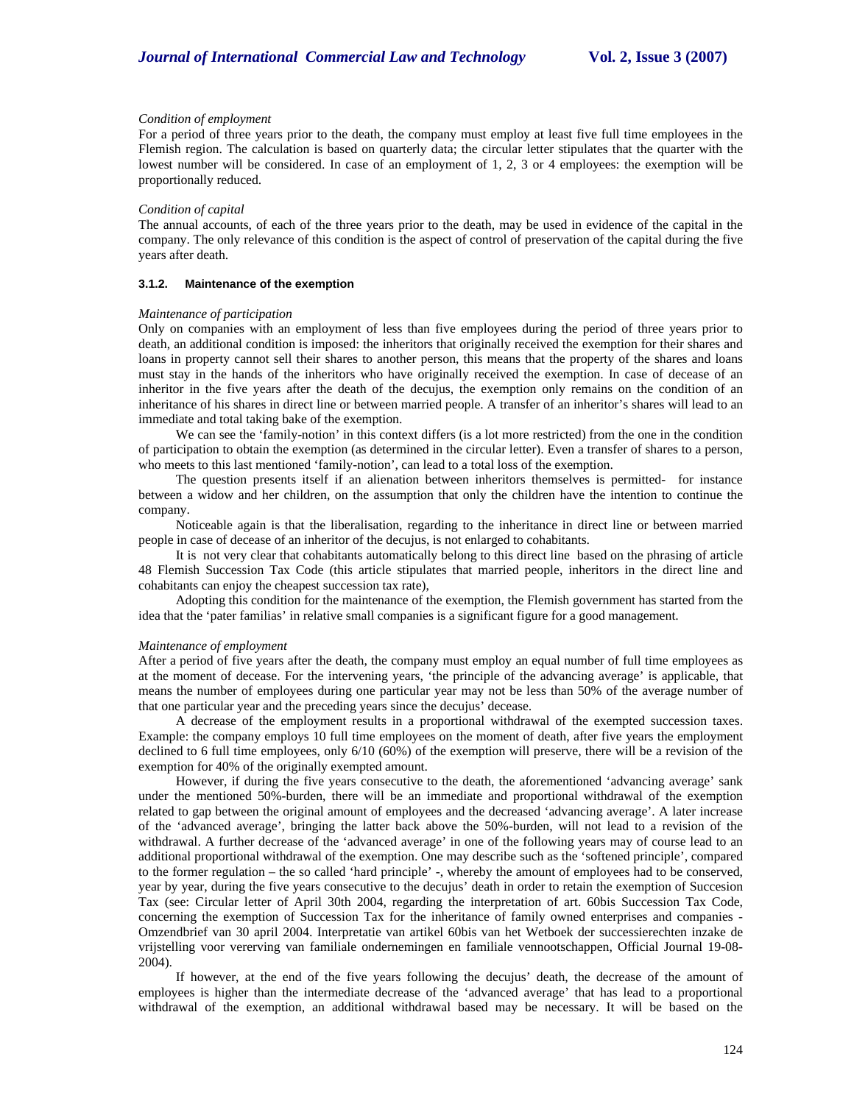#### *Condition of employment*

For a period of three years prior to the death, the company must employ at least five full time employees in the Flemish region. The calculation is based on quarterly data; the circular letter stipulates that the quarter with the lowest number will be considered. In case of an employment of 1, 2, 3 or 4 employees: the exemption will be proportionally reduced.

#### *Condition of capital*

The annual accounts, of each of the three years prior to the death, may be used in evidence of the capital in the company. The only relevance of this condition is the aspect of control of preservation of the capital during the five years after death.

#### **3.1.2. Maintenance of the exemption**

#### *Maintenance of participation*

Only on companies with an employment of less than five employees during the period of three years prior to death, an additional condition is imposed: the inheritors that originally received the exemption for their shares and loans in property cannot sell their shares to another person, this means that the property of the shares and loans must stay in the hands of the inheritors who have originally received the exemption. In case of decease of an inheritor in the five years after the death of the decujus, the exemption only remains on the condition of an inheritance of his shares in direct line or between married people. A transfer of an inheritor's shares will lead to an immediate and total taking bake of the exemption.

We can see the 'family-notion' in this context differs (is a lot more restricted) from the one in the condition of participation to obtain the exemption (as determined in the circular letter). Even a transfer of shares to a person, who meets to this last mentioned 'family-notion', can lead to a total loss of the exemption.

The question presents itself if an alienation between inheritors themselves is permitted- for instance between a widow and her children, on the assumption that only the children have the intention to continue the company.

Noticeable again is that the liberalisation, regarding to the inheritance in direct line or between married people in case of decease of an inheritor of the decujus, is not enlarged to cohabitants.

It is not very clear that cohabitants automatically belong to this direct line based on the phrasing of article 48 Flemish Succession Tax Code (this article stipulates that married people, inheritors in the direct line and cohabitants can enjoy the cheapest succession tax rate),

Adopting this condition for the maintenance of the exemption, the Flemish government has started from the idea that the 'pater familias' in relative small companies is a significant figure for a good management.

#### *Maintenance of employment*

After a period of five years after the death, the company must employ an equal number of full time employees as at the moment of decease. For the intervening years, 'the principle of the advancing average' is applicable, that means the number of employees during one particular year may not be less than 50% of the average number of that one particular year and the preceding years since the decujus' decease.

A decrease of the employment results in a proportional withdrawal of the exempted succession taxes. Example: the company employs 10 full time employees on the moment of death, after five years the employment declined to 6 full time employees, only 6/10 (60%) of the exemption will preserve, there will be a revision of the exemption for 40% of the originally exempted amount.

However, if during the five years consecutive to the death, the aforementioned 'advancing average' sank under the mentioned 50%-burden, there will be an immediate and proportional withdrawal of the exemption related to gap between the original amount of employees and the decreased 'advancing average'. A later increase of the 'advanced average', bringing the latter back above the 50%-burden, will not lead to a revision of the withdrawal. A further decrease of the 'advanced average' in one of the following years may of course lead to an additional proportional withdrawal of the exemption. One may describe such as the 'softened principle', compared to the former regulation – the so called 'hard principle' -, whereby the amount of employees had to be conserved, year by year, during the five years consecutive to the decujus' death in order to retain the exemption of Succesion Tax (see: Circular letter of April 30th 2004, regarding the interpretation of art. 60bis Succession Tax Code, concerning the exemption of Succession Tax for the inheritance of family owned enterprises and companies - Omzendbrief van 30 april 2004. Interpretatie van artikel 60bis van het Wetboek der successierechten inzake de vrijstelling voor vererving van familiale ondernemingen en familiale vennootschappen, Official Journal 19-08- 2004).

If however, at the end of the five years following the decujus' death, the decrease of the amount of employees is higher than the intermediate decrease of the 'advanced average' that has lead to a proportional withdrawal of the exemption, an additional withdrawal based may be necessary. It will be based on the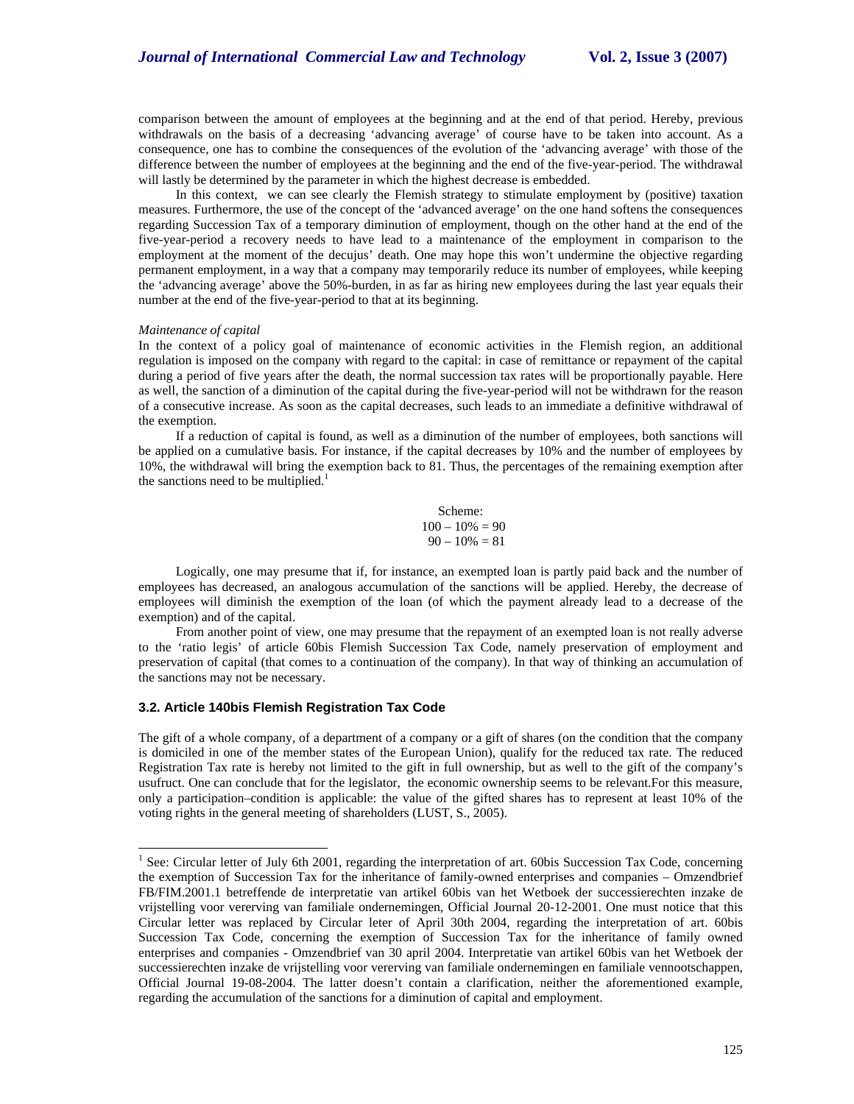comparison between the amount of employees at the beginning and at the end of that period. Hereby, previous withdrawals on the basis of a decreasing 'advancing average' of course have to be taken into account. As a consequence, one has to combine the consequences of the evolution of the 'advancing average' with those of the difference between the number of employees at the beginning and the end of the five-year-period. The withdrawal will lastly be determined by the parameter in which the highest decrease is embedded.

In this context, we can see clearly the Flemish strategy to stimulate employment by (positive) taxation measures. Furthermore, the use of the concept of the 'advanced average' on the one hand softens the consequences regarding Succession Tax of a temporary diminution of employment, though on the other hand at the end of the five-year-period a recovery needs to have lead to a maintenance of the employment in comparison to the employment at the moment of the decujus' death. One may hope this won't undermine the objective regarding permanent employment, in a way that a company may temporarily reduce its number of employees, while keeping the 'advancing average' above the 50%-burden, in as far as hiring new employees during the last year equals their number at the end of the five-year-period to that at its beginning.

#### *Maintenance of capital*

1

In the context of a policy goal of maintenance of economic activities in the Flemish region, an additional regulation is imposed on the company with regard to the capital: in case of remittance or repayment of the capital during a period of five years after the death, the normal succession tax rates will be proportionally payable. Here as well, the sanction of a diminution of the capital during the five-year-period will not be withdrawn for the reason of a consecutive increase. As soon as the capital decreases, such leads to an immediate a definitive withdrawal of the exemption.

If a reduction of capital is found, as well as a diminution of the number of employees, both sanctions will be applied on a cumulative basis. For instance, if the capital decreases by 10% and the number of employees by 10%, the withdrawal will bring the exemption back to 81. Thus, the percentages of the remaining exemption after the sanctions need to be multiplied. $<sup>1</sup>$ </sup>

> Scheme:  $100 - 10\% = 90$  $90 - 10\% = 81$

Logically, one may presume that if, for instance, an exempted loan is partly paid back and the number of employees has decreased, an analogous accumulation of the sanctions will be applied. Hereby, the decrease of employees will diminish the exemption of the loan (of which the payment already lead to a decrease of the exemption) and of the capital.

From another point of view, one may presume that the repayment of an exempted loan is not really adverse to the 'ratio legis' of article 60bis Flemish Succession Tax Code, namely preservation of employment and preservation of capital (that comes to a continuation of the company). In that way of thinking an accumulation of the sanctions may not be necessary.

## **3.2. Article 140bis Flemish Registration Tax Code**

The gift of a whole company, of a department of a company or a gift of shares (on the condition that the company is domiciled in one of the member states of the European Union), qualify for the reduced tax rate. The reduced Registration Tax rate is hereby not limited to the gift in full ownership, but as well to the gift of the company's usufruct. One can conclude that for the legislator, the economic ownership seems to be relevant.For this measure, only a participation–condition is applicable: the value of the gifted shares has to represent at least 10% of the voting rights in the general meeting of shareholders (LUST, S., 2005).

<sup>&</sup>lt;sup>1</sup> See: Circular letter of July 6th 2001, regarding the interpretation of art. 60bis Succession Tax Code, concerning the exemption of Succession Tax for the inheritance of family-owned enterprises and companies – Omzendbrief FB/FIM.2001.1 betreffende de interpretatie van artikel 60bis van het Wetboek der successierechten inzake de vrijstelling voor vererving van familiale ondernemingen, Official Journal 20-12-2001. One must notice that this Circular letter was replaced by Circular leter of April 30th 2004, regarding the interpretation of art. 60bis Succession Tax Code, concerning the exemption of Succession Tax for the inheritance of family owned enterprises and companies - Omzendbrief van 30 april 2004. Interpretatie van artikel 60bis van het Wetboek der successierechten inzake de vrijstelling voor vererving van familiale ondernemingen en familiale vennootschappen, Official Journal 19-08-2004. The latter doesn't contain a clarification, neither the aforementioned example, regarding the accumulation of the sanctions for a diminution of capital and employment.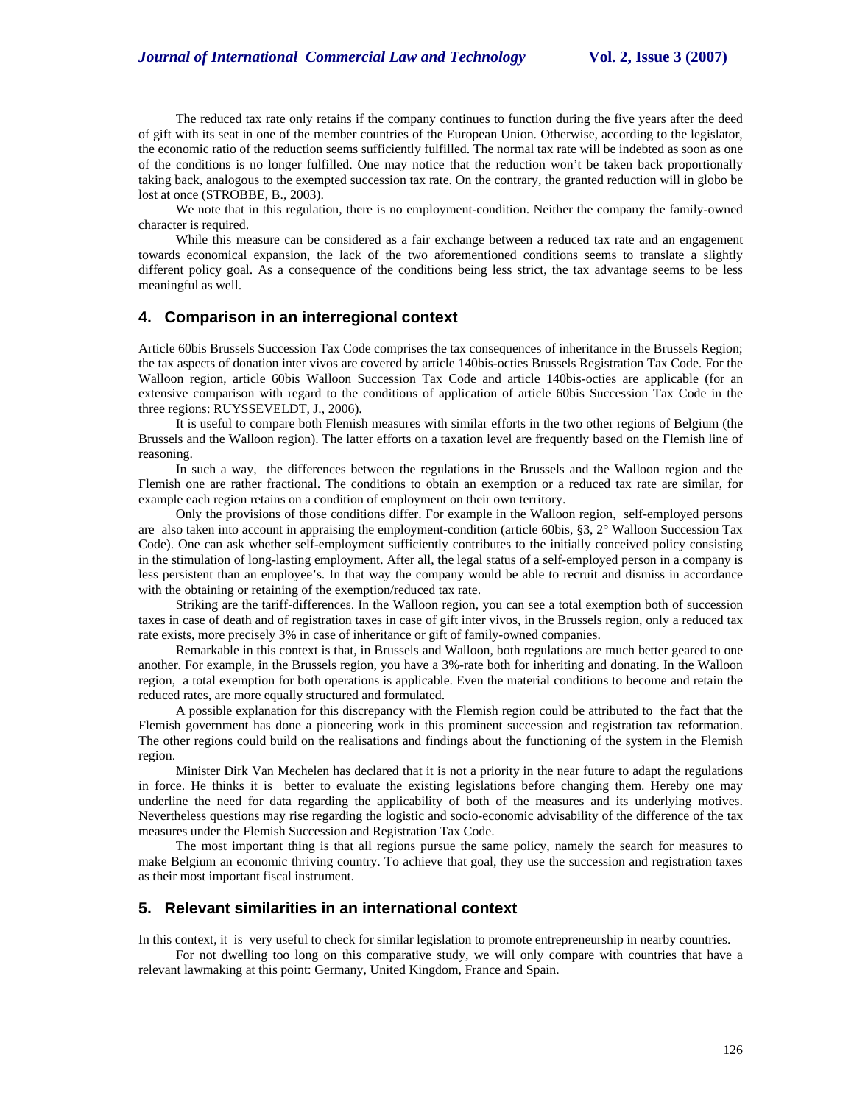The reduced tax rate only retains if the company continues to function during the five years after the deed of gift with its seat in one of the member countries of the European Union. Otherwise, according to the legislator, the economic ratio of the reduction seems sufficiently fulfilled. The normal tax rate will be indebted as soon as one of the conditions is no longer fulfilled. One may notice that the reduction won't be taken back proportionally taking back, analogous to the exempted succession tax rate. On the contrary, the granted reduction will in globo be lost at once (STROBBE, B., 2003).

We note that in this regulation, there is no employment-condition. Neither the company the family-owned character is required.

While this measure can be considered as a fair exchange between a reduced tax rate and an engagement towards economical expansion, the lack of the two aforementioned conditions seems to translate a slightly different policy goal. As a consequence of the conditions being less strict, the tax advantage seems to be less meaningful as well.

# **4. Comparison in an interregional context**

Article 60bis Brussels Succession Tax Code comprises the tax consequences of inheritance in the Brussels Region; the tax aspects of donation inter vivos are covered by article 140bis-octies Brussels Registration Tax Code. For the Walloon region, article 60bis Walloon Succession Tax Code and article 140bis-octies are applicable (for an extensive comparison with regard to the conditions of application of article 60bis Succession Tax Code in the three regions: RUYSSEVELDT, J., 2006).

It is useful to compare both Flemish measures with similar efforts in the two other regions of Belgium (the Brussels and the Walloon region). The latter efforts on a taxation level are frequently based on the Flemish line of reasoning.

In such a way, the differences between the regulations in the Brussels and the Walloon region and the Flemish one are rather fractional. The conditions to obtain an exemption or a reduced tax rate are similar, for example each region retains on a condition of employment on their own territory.

Only the provisions of those conditions differ. For example in the Walloon region, self-employed persons are also taken into account in appraising the employment-condition (article 60bis, §3, 2° Walloon Succession Tax Code). One can ask whether self-employment sufficiently contributes to the initially conceived policy consisting in the stimulation of long-lasting employment. After all, the legal status of a self-employed person in a company is less persistent than an employee's. In that way the company would be able to recruit and dismiss in accordance with the obtaining or retaining of the exemption/reduced tax rate.

Striking are the tariff-differences. In the Walloon region, you can see a total exemption both of succession taxes in case of death and of registration taxes in case of gift inter vivos, in the Brussels region, only a reduced tax rate exists, more precisely 3% in case of inheritance or gift of family-owned companies.

Remarkable in this context is that, in Brussels and Walloon, both regulations are much better geared to one another. For example, in the Brussels region, you have a 3%-rate both for inheriting and donating. In the Walloon region, a total exemption for both operations is applicable. Even the material conditions to become and retain the reduced rates, are more equally structured and formulated.

A possible explanation for this discrepancy with the Flemish region could be attributed to the fact that the Flemish government has done a pioneering work in this prominent succession and registration tax reformation. The other regions could build on the realisations and findings about the functioning of the system in the Flemish region.

Minister Dirk Van Mechelen has declared that it is not a priority in the near future to adapt the regulations in force. He thinks it is better to evaluate the existing legislations before changing them. Hereby one may underline the need for data regarding the applicability of both of the measures and its underlying motives. Nevertheless questions may rise regarding the logistic and socio-economic advisability of the difference of the tax measures under the Flemish Succession and Registration Tax Code.

The most important thing is that all regions pursue the same policy, namely the search for measures to make Belgium an economic thriving country. To achieve that goal, they use the succession and registration taxes as their most important fiscal instrument.

# **5. Relevant similarities in an international context**

In this context, it is very useful to check for similar legislation to promote entrepreneurship in nearby countries.

For not dwelling too long on this comparative study, we will only compare with countries that have a relevant lawmaking at this point: Germany, United Kingdom, France and Spain.